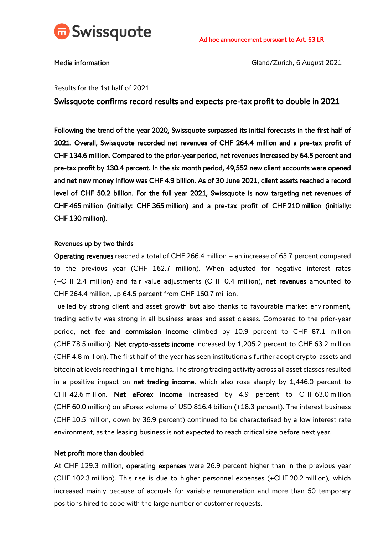

Media information and a set of the Contractor Cland/Zurich, 6 August 2021

# Results for the 1st half of 2021

Swissquote confirms record results and expects pre-tax profit to double in 2021

Following the trend of the year 2020, Swissquote surpassed its initial forecasts in the first half of 2021. Overall, Swissquote recorded net revenues of CHF 264.4 million and a pre-tax profit of CHF 134.6 million. Compared to the prior-year period, net revenues increased by 64.5 percent and pre-tax profit by 130.4 percent. In the six month period, 49,552 new client accounts were opened and net new money inflow was CHF 4.9 billion. As of 30 June 2021, client assets reached a record level of CHF 50.2 billion. For the full year 2021, Swissquote is now targeting net revenues of CHF 465 million (initially: CHF 365 million) and a pre-tax profit of CHF 210 million (initially: CHF 130 million).

### Revenues up by two thirds

Operating revenues reached a total of CHF 266.4 million – an increase of 63.7 percent compared to the previous year (CHF 162.7 million). When adjusted for negative interest rates (–CHF 2.4 million) and fair value adjustments (CHF 0.4 million), net revenues amounted to CHF 264.4 million, up 64.5 percent from CHF 160.7 million.

Fuelled by strong client and asset growth but also thanks to favourable market environment, trading activity was strong in all business areas and asset classes. Compared to the prior-year period, net fee and commission income climbed by 10.9 percent to CHF 87.1 million (CHF 78.5 million). Net crypto-assets income increased by 1,205.2 percent to CHF 63.2 million (CHF 4.8 million). The first half of the year has seen institutionals further adopt crypto-assets and bitcoin at levels reaching all-time highs. The strong trading activity across all asset classes resulted in a positive impact on net trading income, which also rose sharply by 1,446.0 percent to CHF 42.6 million. Net eForex income increased by 4.9 percent to CHF 63.0 million (CHF 60.0 million) on eForex volume of USD 816.4 billion (+18.3 percent). The interest business (CHF 10.5 million, down by 36.9 percent) continued to be characterised by a low interest rate environment, as the leasing business is not expected to reach critical size before next year.

### Net profit more than doubled

At CHF 129.3 million, operating expenses were 26.9 percent higher than in the previous year (CHF 102.3 million). This rise is due to higher personnel expenses (+CHF 20.2 million), which increased mainly because of accruals for variable remuneration and more than 50 temporary positions hired to cope with the large number of customer requests.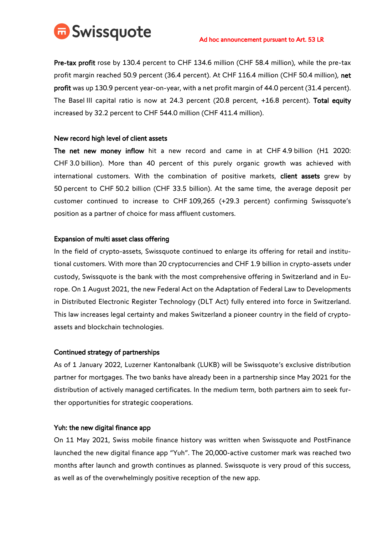

Pre-tax profit rose by 130.4 percent to CHF 134.6 million (CHF 58.4 million), while the pre-tax profit margin reached 50.9 percent (36.4 percent). At CHF 116.4 million (CHF 50.4 million), net profit was up 130.9 percent year-on-year, with a net profit margin of 44.0 percent (31.4 percent). The Basel III capital ratio is now at 24.3 percent (20.8 percent, +16.8 percent). Total equity increased by 32.2 percent to CHF 544.0 million (CHF 411.4 million).

# New record high level of client assets

The net new money inflow hit a new record and came in at CHF 4.9 billion (H1 2020: CHF 3.0 billion). More than 40 percent of this purely organic growth was achieved with international customers. With the combination of positive markets, client assets grew by 50 percent to CHF 50.2 billion (CHF 33.5 billion). At the same time, the average deposit per customer continued to increase to CHF 109,265 (+29.3 percent) confirming Swissquote's position as a partner of choice for mass affluent customers.

# Expansion of multi asset class offering

In the field of crypto-assets, Swissquote continued to enlarge its offering for retail and institutional customers. With more than 20 cryptocurrencies and CHF 1.9 billion in crypto-assets under custody, Swissquote is the bank with the most comprehensive offering in Switzerland and in Europe. On 1 August 2021, the new Federal Act on the Adaptation of Federal Law to Developments in Distributed Electronic Register Technology (DLT Act) fully entered into force in Switzerland. This law increases legal certainty and makes Switzerland a pioneer country in the field of cryptoassets and blockchain technologies.

### Continued strategy of partnerships

As of 1 January 2022, Luzerner Kantonalbank (LUKB) will be Swissquote's exclusive distribution partner for mortgages. The two banks have already been in a partnership since May 2021 for the distribution of actively managed certificates. In the medium term, both partners aim to seek further opportunities for strategic cooperations.

### Yuh: the new digital finance app

On 11 May 2021, Swiss mobile finance history was written when Swissquote and PostFinance launched the new digital finance app "Yuh". The 20,000-active customer mark was reached two months after launch and growth continues as planned. Swissquote is very proud of this success, as well as of the overwhelmingly positive reception of the new app.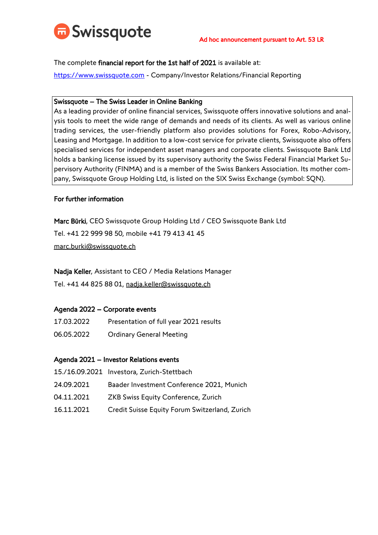

The complete financial report for the 1st half of 2021 is available at:

[https://www.swissquote.com](https://www.swissquote.com/) - Company/Investor Relations/Financial Reporting

# Swissquote – The Swiss Leader in Online Banking

As a leading provider of online financial services, Swissquote offers innovative solutions and analysis tools to meet the wide range of demands and needs of its clients. As well as various online trading services, the user-friendly platform also provides solutions for Forex, Robo-Advisory, Leasing and Mortgage. In addition to a low-cost service for private clients, Swissquote also offers specialised services for independent asset managers and corporate clients. Swissquote Bank Ltd holds a banking license issued by its supervisory authority the Swiss Federal Financial Market Supervisory Authority (FINMA) and is a member of the Swiss Bankers Association. Its mother company, Swissquote Group Holding Ltd, is listed on the SIX Swiss Exchange (symbol: SQN).

# For further information

Marc Bürki, CEO Swissquote Group Holding Ltd / CEO Swissquote Bank Ltd Tel. +41 22 999 98 50, mobile +41 79 413 41 45 marc.burki@swissquote.ch

Nadja Keller, Assistant to CEO / Media Relations Manager

Tel. +41 44 825 88 01, nadja.keller@swissquote.ch

# Agenda 2022 – Corporate events

- 17.03.2022 Presentation of full year 2021 results
- 06.05.2022 Ordinary General Meeting

# Agenda 2021 – Investor Relations events

- 15./16.09.2021 Investora, Zurich-Stettbach
- 24.09.2021 Baader Investment Conference 2021, Munich
- 04.11.2021 ZKB Swiss Equity Conference, Zurich
- 16.11.2021 Credit Suisse Equity Forum Switzerland, Zurich